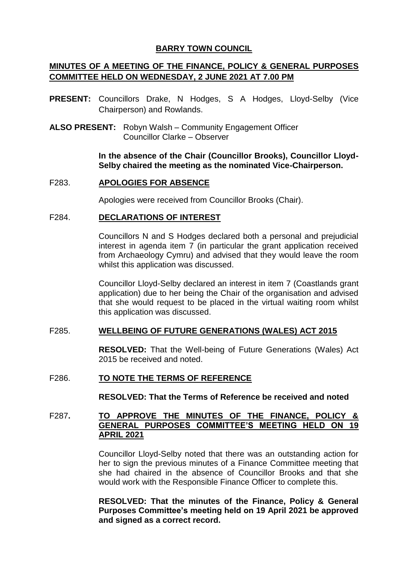# **BARRY TOWN COUNCIL**

# **MINUTES OF A MEETING OF THE FINANCE, POLICY & GENERAL PURPOSES COMMITTEE HELD ON WEDNESDAY, 2 JUNE 2021 AT 7.00 PM**

- **PRESENT:** Councillors Drake, N Hodges, S A Hodges, Lloyd-Selby (Vice Chairperson) and Rowlands.
- **ALSO PRESENT:** Robyn Walsh Community Engagement Officer Councillor Clarke – Observer

**In the absence of the Chair (Councillor Brooks), Councillor Lloyd-Selby chaired the meeting as the nominated Vice-Chairperson.**

## F283. **APOLOGIES FOR ABSENCE**

Apologies were received from Councillor Brooks (Chair).

## F284. **DECLARATIONS OF INTEREST**

Councillors N and S Hodges declared both a personal and prejudicial interest in agenda item 7 (in particular the grant application received from Archaeology Cymru) and advised that they would leave the room whilst this application was discussed.

Councillor Lloyd-Selby declared an interest in item 7 (Coastlands grant application) due to her being the Chair of the organisation and advised that she would request to be placed in the virtual waiting room whilst this application was discussed.

# F285. **WELLBEING OF FUTURE GENERATIONS (WALES) ACT 2015**

**RESOLVED:** That the Well-being of Future Generations (Wales) Act 2015 be received and noted.

# F286. **TO NOTE THE TERMS OF REFERENCE**

**RESOLVED: That the Terms of Reference be received and noted** 

# F287**. TO APPROVE THE MINUTES OF THE FINANCE, POLICY & GENERAL PURPOSES COMMITTEE'S MEETING HELD ON 19 APRIL 2021**

Councillor Lloyd-Selby noted that there was an outstanding action for her to sign the previous minutes of a Finance Committee meeting that she had chaired in the absence of Councillor Brooks and that she would work with the Responsible Finance Officer to complete this.

**RESOLVED: That the minutes of the Finance, Policy & General Purposes Committee's meeting held on 19 April 2021 be approved and signed as a correct record.**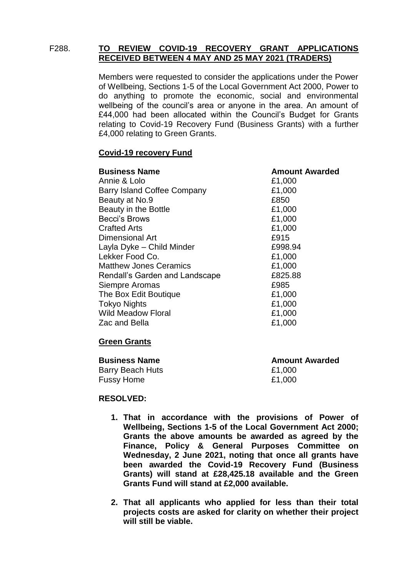## F288. **TO REVIEW COVID-19 RECOVERY GRANT APPLICATIONS RECEIVED BETWEEN 4 MAY AND 25 MAY 2021 (TRADERS)**

Members were requested to consider the applications under the Power of Wellbeing, Sections 1-5 of the Local Government Act 2000, Power to do anything to promote the economic, social and environmental wellbeing of the council's area or anyone in the area. An amount of £44,000 had been allocated within the Council's Budget for Grants relating to Covid-19 Recovery Fund (Business Grants) with a further £4,000 relating to Green Grants.

## **Covid-19 recovery Fund**

| <b>Business Name</b>           | <b>Amount Awarded</b> |
|--------------------------------|-----------------------|
| Annie & Lolo                   | £1,000                |
| Barry Island Coffee Company    | £1,000                |
| Beauty at No.9                 | £850                  |
| Beauty in the Bottle           | £1,000                |
| Becci's Brows                  | £1,000                |
| <b>Crafted Arts</b>            | £1,000                |
| Dimensional Art                | £915                  |
| Layla Dyke - Child Minder      | £998.94               |
| Lekker Food Co.                | £1,000                |
| <b>Matthew Jones Ceramics</b>  | £1,000                |
| Rendall's Garden and Landscape | £825.88               |
| Siempre Aromas                 | £985                  |
| The Box Edit Boutique          | £1,000                |
| <b>Tokyo Nights</b>            | £1,000                |
| <b>Wild Meadow Floral</b>      | £1,000                |
| Zac and Bella                  | £1,000                |

# **Green Grants**

| <b>Amount Awarded</b> |
|-----------------------|
| £1,000                |
| £1,000                |
|                       |

#### **RESOLVED:**

- **1. That in accordance with the provisions of Power of Wellbeing, Sections 1-5 of the Local Government Act 2000; Grants the above amounts be awarded as agreed by the Finance, Policy & General Purposes Committee on Wednesday, 2 June 2021, noting that once all grants have been awarded the Covid-19 Recovery Fund (Business Grants) will stand at £28,425.18 available and the Green Grants Fund will stand at £2,000 available.**
- **2. That all applicants who applied for less than their total projects costs are asked for clarity on whether their project will still be viable.**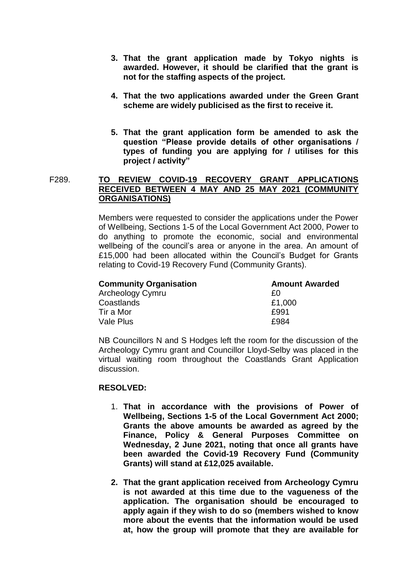- **3. That the grant application made by Tokyo nights is awarded. However, it should be clarified that the grant is not for the staffing aspects of the project.**
- **4. That the two applications awarded under the Green Grant scheme are widely publicised as the first to receive it.**
- **5. That the grant application form be amended to ask the question "Please provide details of other organisations / types of funding you are applying for / utilises for this project / activity"**

# F289. **TO REVIEW COVID-19 RECOVERY GRANT APPLICATIONS RECEIVED BETWEEN 4 MAY AND 25 MAY 2021 (COMMUNITY ORGANISATIONS)**

Members were requested to consider the applications under the Power of Wellbeing, Sections 1-5 of the Local Government Act 2000, Power to do anything to promote the economic, social and environmental wellbeing of the council's area or anyone in the area. An amount of £15,000 had been allocated within the Council's Budget for Grants relating to Covid-19 Recovery Fund (Community Grants).

| <b>Community Organisation</b> | <b>Amount Awarded</b> |
|-------------------------------|-----------------------|
| Archeology Cymru              | £Ο                    |
| Coastlands                    | £1,000                |
| Tir a Mor                     | £991                  |
| Vale Plus                     | £984                  |

NB Councillors N and S Hodges left the room for the discussion of the Archeology Cymru grant and Councillor Lloyd-Selby was placed in the virtual waiting room throughout the Coastlands Grant Application discussion.

# **RESOLVED:**

- 1. **That in accordance with the provisions of Power of Wellbeing, Sections 1-5 of the Local Government Act 2000; Grants the above amounts be awarded as agreed by the Finance, Policy & General Purposes Committee on Wednesday, 2 June 2021, noting that once all grants have been awarded the Covid-19 Recovery Fund (Community Grants) will stand at £12,025 available.**
- **2. That the grant application received from Archeology Cymru is not awarded at this time due to the vagueness of the application. The organisation should be encouraged to apply again if they wish to do so (members wished to know more about the events that the information would be used at, how the group will promote that they are available for**